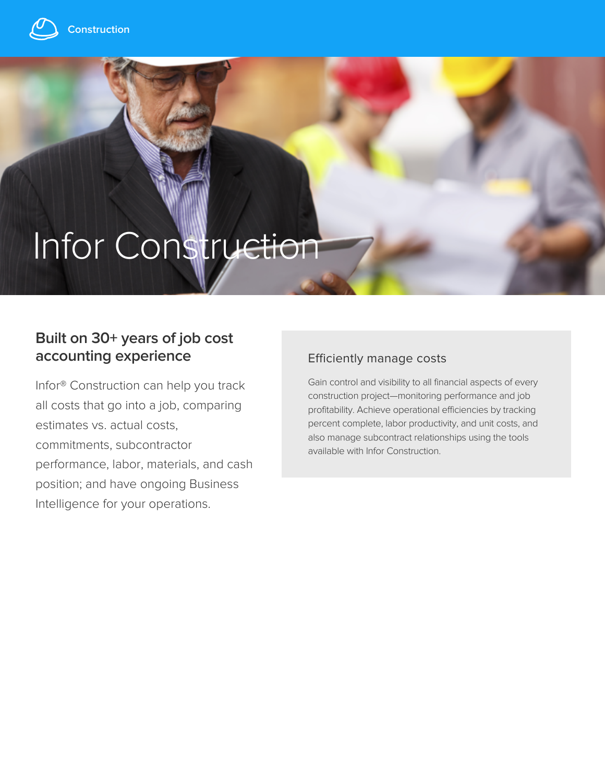

# Infor Construction

## **Built on 30+ years of job cost accounting experience**

Infor® Construction can help you track all costs that go into a job, comparing estimates vs. actual costs, commitments, subcontractor performance, labor, materials, and cash position; and have ongoing Business Intelligence for your operations.

#### Efficiently manage costs

Gain control and visibility to all financial aspects of every construction project—monitoring performance and job profitability. Achieve operational efficiencies by tracking percent complete, labor productivity, and unit costs, and also manage subcontract relationships using the tools available with Infor Construction.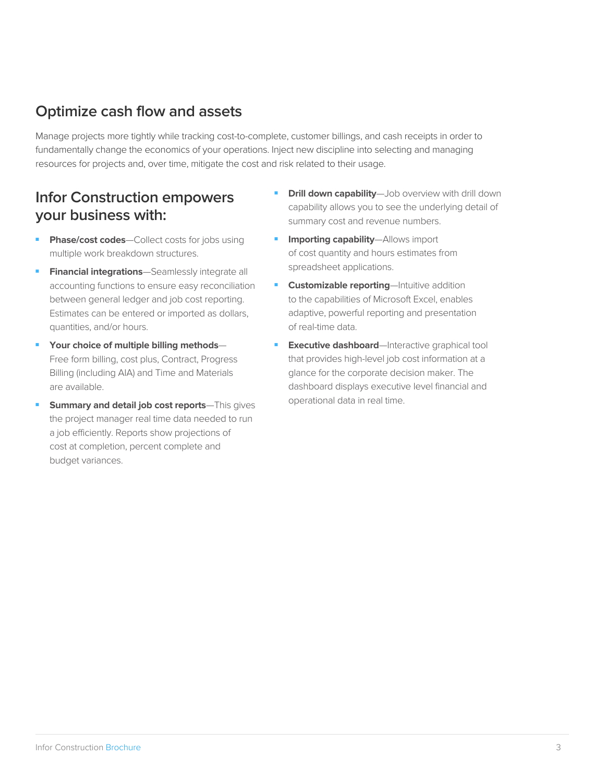#### **Optimize cash flow and assets**

Manage projects more tightly while tracking cost-to-complete, customer billings, and cash receipts in order to fundamentally change the economics of your operations. Inject new discipline into selecting and managing resources for projects and, over time, mitigate the cost and risk related to their usage.

#### **Infor Construction empowers your business with:**

- **Phase/cost codes**—Collect costs for jobs using multiple work breakdown structures.
- **Financial integrations**—Seamlessly integrate all accounting functions to ensure easy reconciliation between general ledger and job cost reporting. Estimates can be entered or imported as dollars, quantities, and/or hours.
- Your choice of multiple billing methods-Free form billing, cost plus, Contract, Progress Billing (including AIA) and Time and Materials are available.
- **Summary and detail job cost reports**—This gives the project manager real time data needed to run a job efficiently. Reports show projections of cost at completion, percent complete and budget variances.
- **Drill down capability**—Job overview with drill down capability allows you to see the underlying detail of summary cost and revenue numbers.
- **Importing capability**—Allows import of cost quantity and hours estimates from spreadsheet applications.
- **- Customizable reporting**—Intuitive addition to the capabilities of Microsoft Excel, enables adaptive, powerful reporting and presentation of real-time data.
- **Executive dashboard**—Interactive graphical tool that provides high-level job cost information at a glance for the corporate decision maker. The dashboard displays executive level financial and operational data in real time.